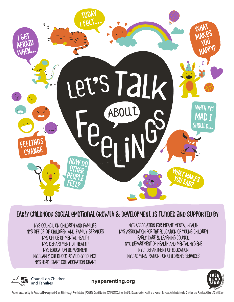

## **Early childhood social emotional growth & development is funded and supported By**

NYS Council on Children and Families NYS Office of Children and Family Services NYS Office of Mental Health NYS DEPARTMENT OF HEAI TH NYS Education Department NYS Early Childhood Advisory Council NYS Head Start Collaboration Grant

NYS Association for Infant Mental Health NYS Association for the Education of Young Children Early Care & Learning Council NYC Department of Health and Mental Hygiene NYC Department of Education NYC Administration for Children's Services



Council on Children<br>and Families

**nysparenting.org**